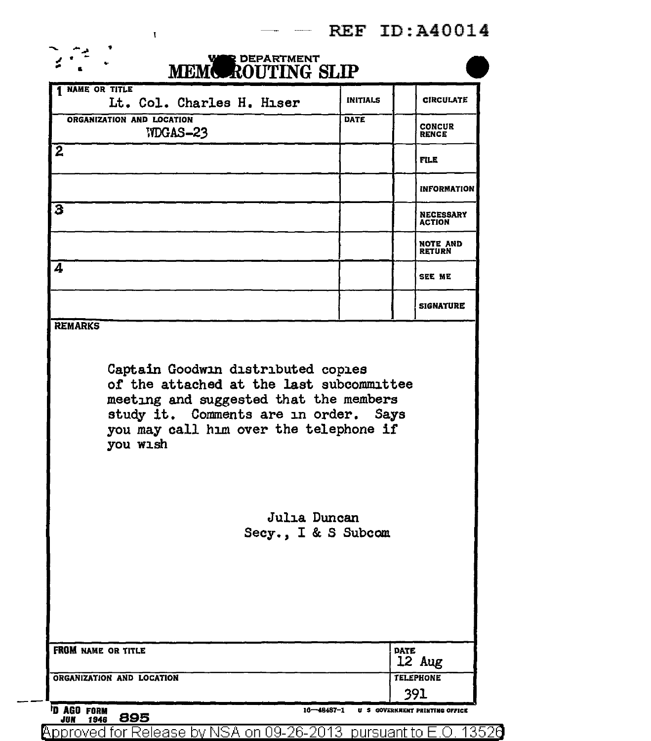## REF ID:A40014

| MEMOROUTING SLIP                                                                                                                                                                  |                     |                                   |
|-----------------------------------------------------------------------------------------------------------------------------------------------------------------------------------|---------------------|-----------------------------------|
| <b>NAME OR TITLE</b><br>Lt. Col. Charles H. Hiser                                                                                                                                 | <b>INITIALS</b>     | <b>CIRCULATE</b>                  |
| ORGANIZATION AND LOCATION<br><b>IIDGAS-23</b>                                                                                                                                     | <b>DATE</b>         | <b>CONCUR</b><br><b>RENCE</b>     |
| $\overline{2}$                                                                                                                                                                    |                     | <b>FILE</b>                       |
|                                                                                                                                                                                   |                     | <b>INFORMATION</b>                |
| З                                                                                                                                                                                 |                     | <b>NECESSARY</b><br><b>ACTION</b> |
|                                                                                                                                                                                   |                     | NOTE AND<br>RETURN                |
| 4                                                                                                                                                                                 |                     | <b>SEE ME</b>                     |
|                                                                                                                                                                                   |                     | <b>SIGNATURE</b>                  |
| of the attached at the last subcommittee<br>meeting and suggested that the members<br>study it. Comments are in order. Says<br>you may call him over the telephone if<br>you wish |                     |                                   |
| Julia Duncan                                                                                                                                                                      | Secy., I & S Subcom |                                   |
|                                                                                                                                                                                   |                     |                                   |
| <b>FROM NAME OR TITLE</b>                                                                                                                                                         |                     | <b>DATE</b><br>12 Aug             |

Jun 1946 B95<br>Approved for Release by NSA on 09-26-2013 pursuant to E.O. 13520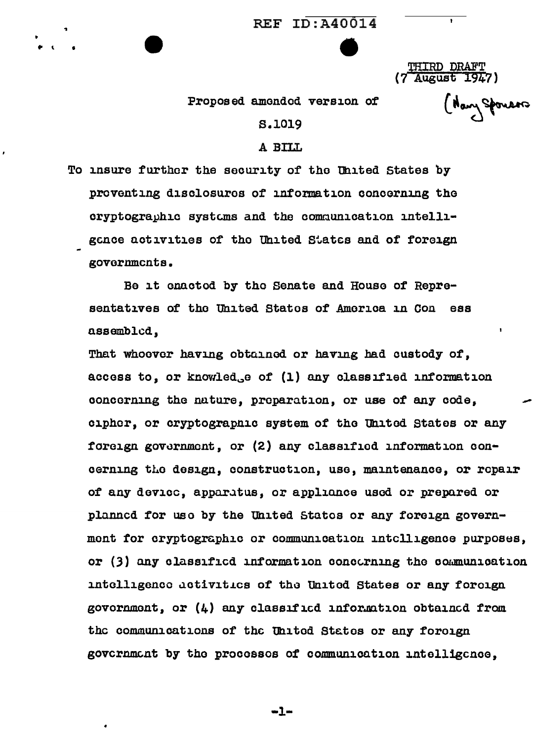$REF$   $ID:$  $A0014$ 

THIRD DRAFT (7 Augus£ 1947)

( Navy Sponsors

Proposed amended version of

.. \ .

## s.1019

## A BILL.

To insure further the security of the United States by proventing disclosures of information concerning the cryptographic systems and the communication intelligence activities of the Uhited States and of foreign governments.

Be it enacted by the Senate and House of Representatives of tho United Statos of Amorica in con ess assembled,

That whoover having obtained or having had custody of, access to, or knowled<sub>s</sub>e of (1) any classified information concerning the nature, preparation, or use of any code, cipher, or cryptographic system of the United States or any foreign government, or (2) any classified information concerning the design, construction, use, maintenance, or repair of any device, apparatus, or appliance used or prepared or planned for uso by the Uhited States or any foreign government for cryptographic or communication intelligence purposes, or  $(3)$  any classified information concerning the communication intelligence activities of the United States or any foreign govornmont, or  $(4)$  any classified information obtained from the communications of the United States or any foreign govcrnment by the processes of communication intelligence.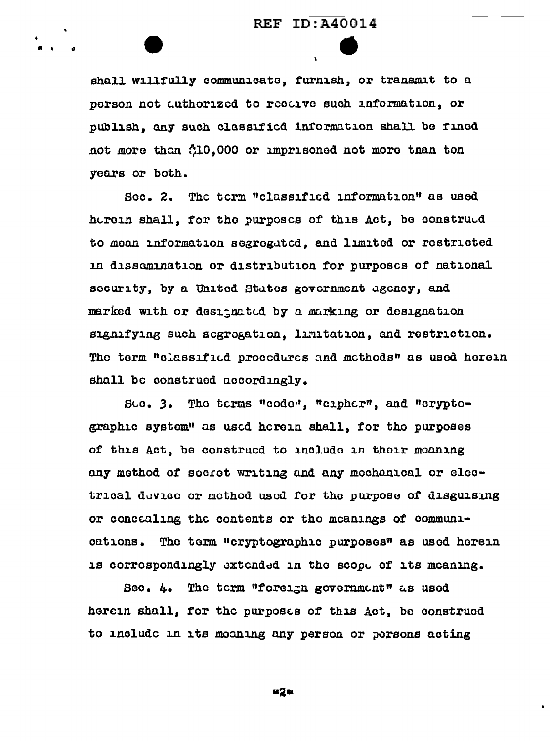shall willfully communicate, furnish, or transmit to a person not authorized to recaive such information, or publish, any such classified information shall be fined not more than 310,000 or imprisoned not more than ton years or both.

Sec. 2. The term "classified information" as used horein shall, for the purposes of this Act, be construed to moan information segrogated, and limited or restricted in dissemination or distribution for purposes of national security, by a United States government agency, and marked with or designated by a marking or designation signifying such segrogation. limitation, and restriction. The term "classified procedures and methods" as used herein shall be construed accordingly.

Sec. 3. The terms "code", "cipher", and "cryptographic system" as used herein shall, for the purposes of this Act, be construcd to include in their meaning any method of secret writing and any mechanical or electrical device or method used for the purpose of disguising or concalling the contents or the meanings of communications. The term "cryptographic purposes" as used herein is correspondingly extended in the scope of its meaning.

Sec. 4. The term "foreign government" as used herein shall, for the purposes of this Act, be construed to include in its mooning any person or porsons acting

42 e